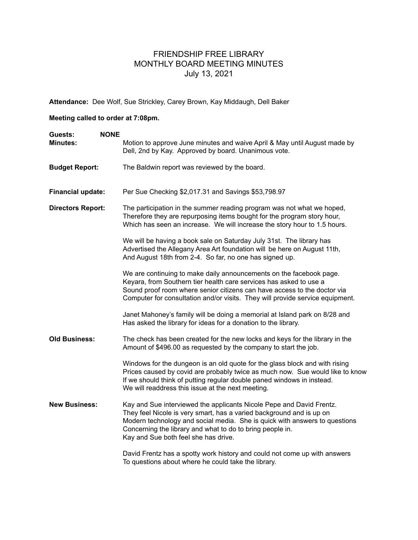## FRIENDSHIP FREE LIBRARY MONTHLY BOARD MEETING MINUTES July 13, 2021

**Attendance:** Dee Wolf, Sue Strickley, Carey Brown, Kay Middaugh, Dell Baker

## **Meeting called to order at 7:08pm.**

| <b>NONE</b><br>Guests:   |                                                                                                                                                                                                                                                                                                                                 |
|--------------------------|---------------------------------------------------------------------------------------------------------------------------------------------------------------------------------------------------------------------------------------------------------------------------------------------------------------------------------|
| <b>Minutes:</b>          | Motion to approve June minutes and waive April & May until August made by<br>Dell, 2nd by Kay. Approved by board. Unanimous vote.                                                                                                                                                                                               |
| <b>Budget Report:</b>    | The Baldwin report was reviewed by the board.                                                                                                                                                                                                                                                                                   |
| <b>Financial update:</b> | Per Sue Checking \$2,017.31 and Savings \$53,798.97                                                                                                                                                                                                                                                                             |
| <b>Directors Report:</b> | The participation in the summer reading program was not what we hoped,<br>Therefore they are repurposing items bought for the program story hour,<br>Which has seen an increase. We will increase the story hour to 1.5 hours.                                                                                                  |
|                          | We will be having a book sale on Saturday July 31st. The library has<br>Advertised the Allegany Area Art foundation will be here on August 11th,<br>And August 18th from 2-4. So far, no one has signed up.                                                                                                                     |
|                          | We are continuing to make daily announcements on the facebook page.<br>Keyara, from Southern tier health care services has asked to use a<br>Sound proof room where senior citizens can have access to the doctor via<br>Computer for consultation and/or visits. They will provide service equipment.                          |
|                          | Janet Mahoney's family will be doing a memorial at Island park on 8/28 and<br>Has asked the library for ideas for a donation to the library.                                                                                                                                                                                    |
| <b>Old Business:</b>     | The check has been created for the new locks and keys for the library in the<br>Amount of \$496.00 as requested by the company to start the job.                                                                                                                                                                                |
|                          | Windows for the dungeon is an old quote for the glass block and with rising<br>Prices caused by covid are probably twice as much now. Sue would like to know<br>If we should think of putting regular double paned windows in instead.<br>We will readdress this issue at the next meeting.                                     |
| <b>New Business:</b>     | Kay and Sue interviewed the applicants Nicole Pepe and David Frentz.<br>They feel Nicole is very smart, has a varied background and is up on<br>Modern technology and social media. She is quick with answers to questions<br>Concerning the library and what to do to bring people in.<br>Kay and Sue both feel she has drive. |
|                          | David Frentz has a spotty work history and could not come up with answers                                                                                                                                                                                                                                                       |

To questions about where he could take the library.